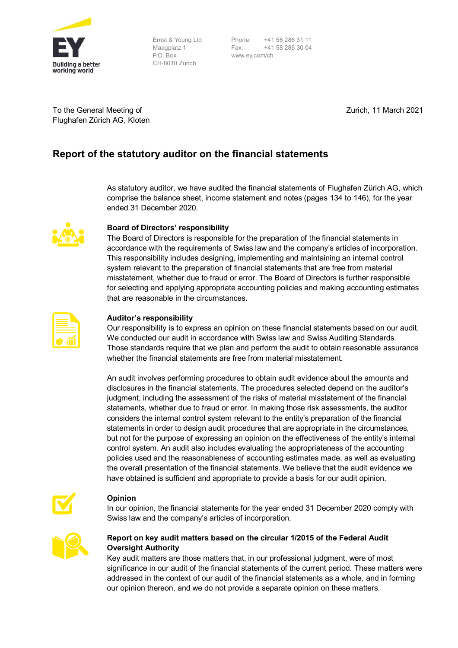

Ernst & Young Ltd Maagplatz 1 P.O. Box CH-8010 Zurich

Phone: +41 58 286 31 11<br>Fax: +41 58 286 30 04 Fax: +41 58 286 30 04 www.ey.com/ch

To the General Meeting of Flughafen Zürich AG, Kloten Zurich, 11 March 2021

# **Report of the statutory auditor on the financial statements**

As statutory auditor, we have audited the financial statements of Flughafen Zürich AG, which comprise the balance sheet, income statement and notes (pages 134 to 146), for the year ended 31 December 2020.



## **Board of Directors' responsibility**

The Board of Directors is responsible for the preparation of the financial statements in accordance with the requirements of Swiss law and the company's articles of incorporation. This responsibility includes designing, implementing and maintaining an internal control system relevant to the preparation of financial statements that are free from material misstatement, whether due to fraud or error. The Board of Directors is further responsible for selecting and applying appropriate accounting policies and making accounting estimates that are reasonable in the circumstances.



### **Auditor's responsibility**

Our responsibility is to express an opinion on these financial statements based on our audit. We conducted our audit in accordance with Swiss law and Swiss Auditing Standards. Those standards require that we plan and perform the audit to obtain reasonable assurance whether the financial statements are free from material misstatement.

An audit involves performing procedures to obtain audit evidence about the amounts and disclosures in the financial statements. The procedures selected depend on the auditor's judgment, including the assessment of the risks of material misstatement of the financial statements, whether due to fraud or error. In making those risk assessments, the auditor considers the internal control system relevant to the entity's preparation of the financial statements in order to design audit procedures that are appropriate in the circumstances, but not for the purpose of expressing an opinion on the effectiveness of the entity's internal control system. An audit also includes evaluating the appropriateness of the accounting policies used and the reasonableness of accounting estimates made, as well as evaluating the overall presentation of the financial statements. We believe that the audit evidence we have obtained is sufficient and appropriate to provide a basis for our audit opinion.



## **Opinion**

In our opinion, the financial statements for the year ended 31 December 2020 comply with Swiss law and the company's articles of incorporation.



## **Report on key audit matters based on the circular 1/2015 of the Federal Audit Oversight Authority**

Key audit matters are those matters that, in our professional judgment, were of most significance in our audit of the financial statements of the current period. These matters were addressed in the context of our audit of the financial statements as a whole, and in forming our opinion thereon, and we do not provide a separate opinion on these matters.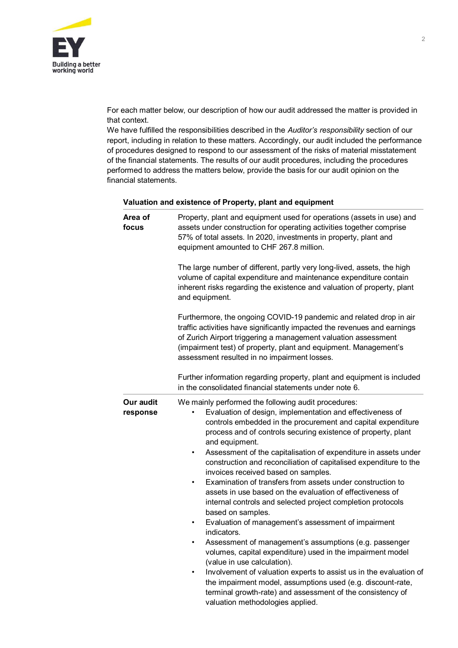

For each matter below, our description of how our audit addressed the matter is provided in that context.

We have fulfilled the responsibilities described in the *Auditor's responsibility* section of our report, including in relation to these matters. Accordingly, our audit included the performance of procedures designed to respond to our assessment of the risks of material misstatement of the financial statements. The results of our audit procedures, including the procedures performed to address the matters below, provide the basis for our audit opinion on the financial statements.

## **Valuation and existence of Property, plant and equipment**

| Area of<br>focus      | Property, plant and equipment used for operations (assets in use) and<br>assets under construction for operating activities together comprise<br>57% of total assets. In 2020, investments in property, plant and<br>equipment amounted to CHF 267.8 million.                                                                                                                                                                                                                                                                                                                                                                                                                                                                                                                                                                                                                                                                                                                                                                                                                                                                                                                                          |
|-----------------------|--------------------------------------------------------------------------------------------------------------------------------------------------------------------------------------------------------------------------------------------------------------------------------------------------------------------------------------------------------------------------------------------------------------------------------------------------------------------------------------------------------------------------------------------------------------------------------------------------------------------------------------------------------------------------------------------------------------------------------------------------------------------------------------------------------------------------------------------------------------------------------------------------------------------------------------------------------------------------------------------------------------------------------------------------------------------------------------------------------------------------------------------------------------------------------------------------------|
|                       | The large number of different, partly very long-lived, assets, the high<br>volume of capital expenditure and maintenance expenditure contain<br>inherent risks regarding the existence and valuation of property, plant<br>and equipment.                                                                                                                                                                                                                                                                                                                                                                                                                                                                                                                                                                                                                                                                                                                                                                                                                                                                                                                                                              |
|                       | Furthermore, the ongoing COVID-19 pandemic and related drop in air<br>traffic activities have significantly impacted the revenues and earnings<br>of Zurich Airport triggering a management valuation assessment<br>(impairment test) of property, plant and equipment. Management's<br>assessment resulted in no impairment losses.                                                                                                                                                                                                                                                                                                                                                                                                                                                                                                                                                                                                                                                                                                                                                                                                                                                                   |
|                       | Further information regarding property, plant and equipment is included<br>in the consolidated financial statements under note 6.                                                                                                                                                                                                                                                                                                                                                                                                                                                                                                                                                                                                                                                                                                                                                                                                                                                                                                                                                                                                                                                                      |
| Our audit<br>response | We mainly performed the following audit procedures:<br>Evaluation of design, implementation and effectiveness of<br>$\bullet$<br>controls embedded in the procurement and capital expenditure<br>process and of controls securing existence of property, plant<br>and equipment.<br>Assessment of the capitalisation of expenditure in assets under<br>$\bullet$<br>construction and reconciliation of capitalised expenditure to the<br>invoices received based on samples.<br>Examination of transfers from assets under construction to<br>assets in use based on the evaluation of effectiveness of<br>internal controls and selected project completion protocols<br>based on samples.<br>Evaluation of management's assessment of impairment<br>$\bullet$<br>indicators.<br>Assessment of management's assumptions (e.g. passenger<br>$\bullet$<br>volumes, capital expenditure) used in the impairment model<br>(value in use calculation).<br>Involvement of valuation experts to assist us in the evaluation of<br>$\bullet$<br>the impairment model, assumptions used (e.g. discount-rate,<br>terminal growth-rate) and assessment of the consistency of<br>valuation methodologies applied. |